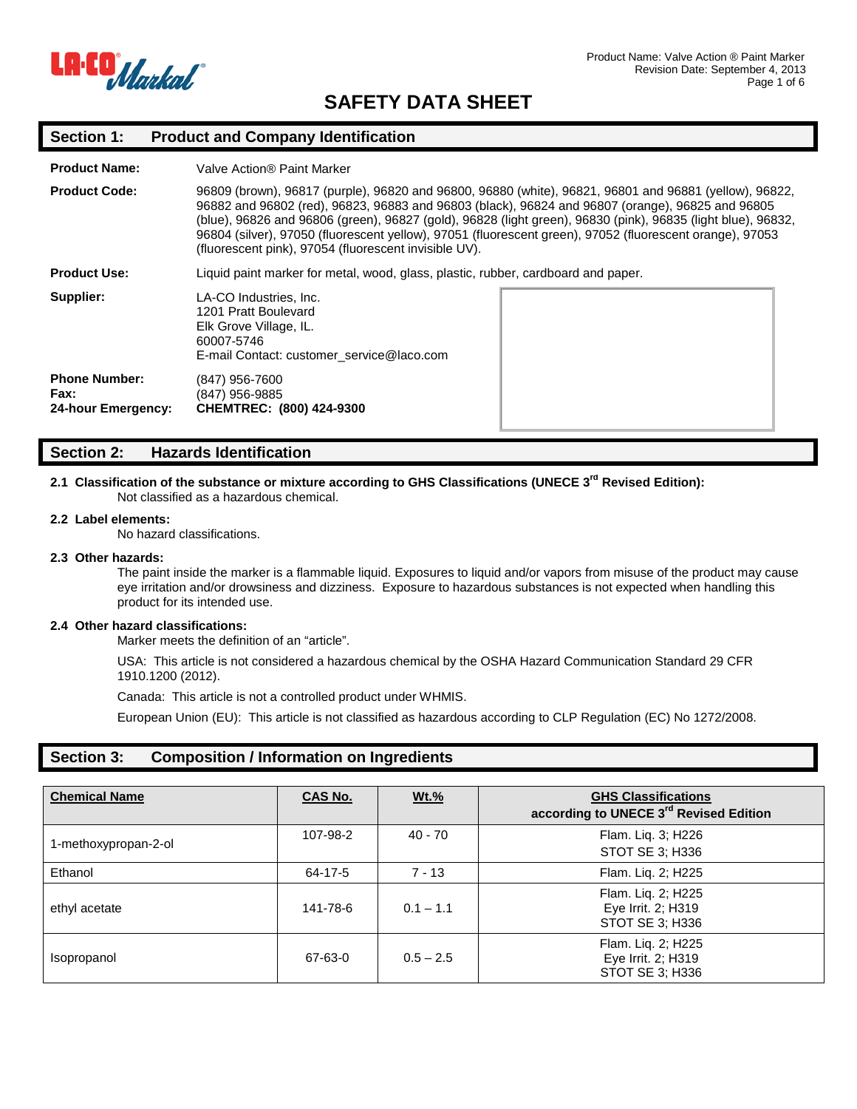

# **Section 1: Product and Company Identification**

| <b>Product Name:</b>                               | Valve Action® Paint Marker                                                                                                                                                                                                                                                                                                                                                                                                                                                                      |  |
|----------------------------------------------------|-------------------------------------------------------------------------------------------------------------------------------------------------------------------------------------------------------------------------------------------------------------------------------------------------------------------------------------------------------------------------------------------------------------------------------------------------------------------------------------------------|--|
| <b>Product Code:</b>                               | 96809 (brown), 96817 (purple), 96820 and 96800, 96880 (white), 96821, 96801 and 96881 (yellow), 96822,<br>96882 and 96802 (red), 96823, 96883 and 96803 (black), 96824 and 96807 (orange), 96825 and 96805<br>(blue), 96826 and 96806 (green), 96827 (gold), 96828 (light green), 96830 (pink), 96835 (light blue), 96832,<br>96804 (silver), 97050 (fluorescent yellow), 97051 (fluorescent green), 97052 (fluorescent orange), 97053<br>(fluorescent pink), 97054 (fluorescent invisible UV). |  |
| <b>Product Use:</b>                                | Liquid paint marker for metal, wood, glass, plastic, rubber, cardboard and paper.                                                                                                                                                                                                                                                                                                                                                                                                               |  |
| Supplier:                                          | LA-CO Industries, Inc.<br>1201 Pratt Boulevard<br>Elk Grove Village, IL.<br>60007-5746<br>E-mail Contact: customer service@laco.com                                                                                                                                                                                                                                                                                                                                                             |  |
| <b>Phone Number:</b><br>Fax:<br>24-hour Emergency: | (847) 956-7600<br>(847) 956-9885<br>CHEMTREC: (800) 424-9300                                                                                                                                                                                                                                                                                                                                                                                                                                    |  |

## **Section 2: Hazards Identification**

## **2.1 Classification of the substance or mixture according to GHS Classifications (UNECE 3rd Revised Edition):**  Not classified as a hazardous chemical.

#### **2.2 Label elements:**

No hazard classifications.

### **2.3 Other hazards:**

The paint inside the marker is a flammable liquid. Exposures to liquid and/or vapors from misuse of the product may cause eye irritation and/or drowsiness and dizziness. Exposure to hazardous substances is not expected when handling this product for its intended use.

## **2.4 Other hazard classifications:**

Marker meets the definition of an "article".

USA: This article is not considered a hazardous chemical by the OSHA Hazard Communication Standard 29 CFR 1910.1200 (2012).

Canada: This article is not a controlled product under WHMIS.

European Union (EU): This article is not classified as hazardous according to CLP Regulation (EC) No 1272/2008.

# **Section 3: Composition / Information on Ingredients**

| <b>Chemical Name</b> | <b>CAS No.</b> | $Wt.\%$     | <b>GHS Classifications</b><br>according to UNECE 3 <sup>rd</sup> Revised Edition |
|----------------------|----------------|-------------|----------------------------------------------------------------------------------|
| 1-methoxypropan-2-ol | 107-98-2       | $40 - 70$   | Flam. Liq. 3; H226<br>STOT SE 3; H336                                            |
| Ethanol              | 64-17-5        | $7 - 13$    | Flam. Liq. 2; H225                                                               |
| ethyl acetate        | 141-78-6       | $0.1 - 1.1$ | Flam. Liq. 2; H225<br>Eye Irrit. 2; H319<br>STOT SE 3; H336                      |
| Isopropanol          | 67-63-0        | $0.5 - 2.5$ | Flam. Liq. 2; H225<br>Eye Irrit. 2; H319<br>STOT SE 3; H336                      |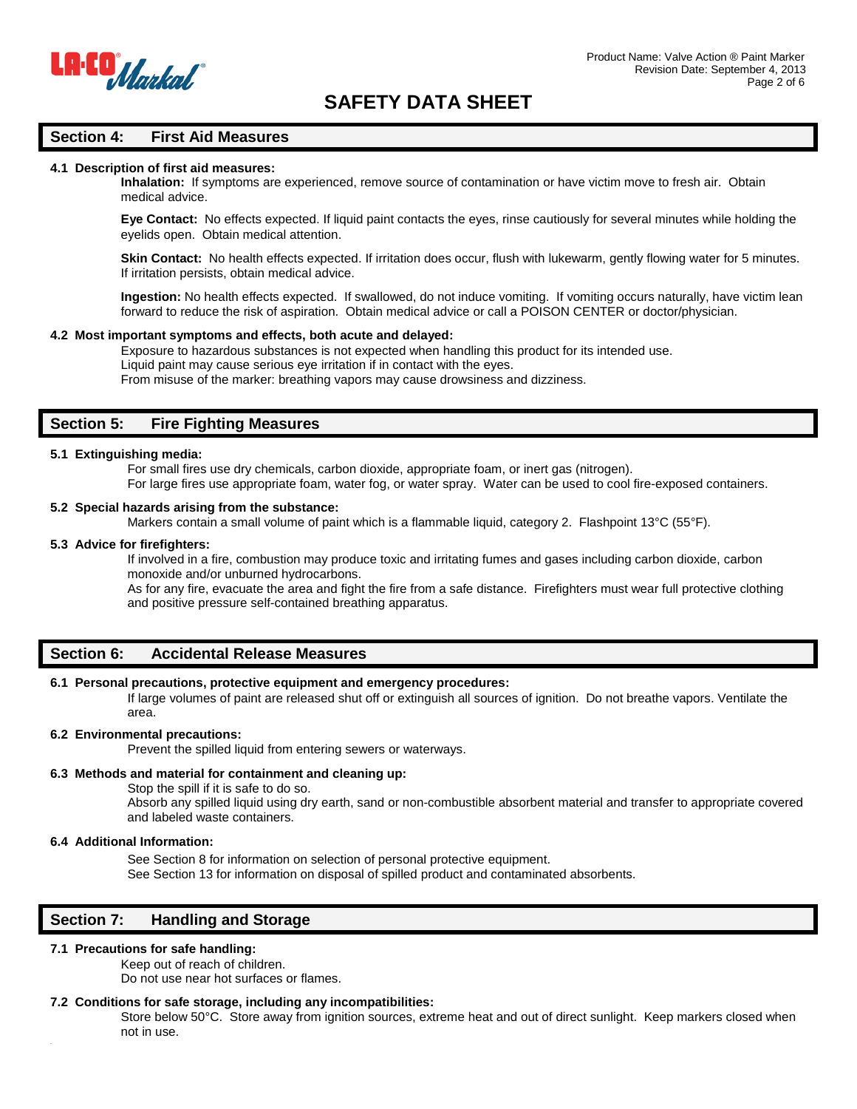

## **Section 4: First Aid Measures**

### **4.1 Description of first aid measures:**

**Inhalation:** If symptoms are experienced, remove source of contamination or have victim move to fresh air. Obtain medical advice.

**Eye Contact:** No effects expected. If liquid paint contacts the eyes, rinse cautiously for several minutes while holding the eyelids open. Obtain medical attention.

**Skin Contact:** No health effects expected. If irritation does occur, flush with lukewarm, gently flowing water for 5 minutes. If irritation persists, obtain medical advice.

**Ingestion:** No health effects expected. If swallowed, do not induce vomiting. If vomiting occurs naturally, have victim lean forward to reduce the risk of aspiration. Obtain medical advice or call a POISON CENTER or doctor/physician.

#### **4.2 Most important symptoms and effects, both acute and delayed:**

Exposure to hazardous substances is not expected when handling this product for its intended use. Liquid paint may cause serious eye irritation if in contact with the eyes. From misuse of the marker: breathing vapors may cause drowsiness and dizziness.

# **Section 5: Fire Fighting Measures**

## **5.1 Extinguishing media:**

For small fires use dry chemicals, carbon dioxide, appropriate foam, or inert gas (nitrogen).

For large fires use appropriate foam, water fog, or water spray. Water can be used to cool fire-exposed containers.

## **5.2 Special hazards arising from the substance:**

Markers contain a small volume of paint which is a flammable liquid, category 2. Flashpoint 13°C (55°F).

## **5.3 Advice for firefighters:**

If involved in a fire, combustion may produce toxic and irritating fumes and gases including carbon dioxide, carbon monoxide and/or unburned hydrocarbons.

As for any fire, evacuate the area and fight the fire from a safe distance. Firefighters must wear full protective clothing and positive pressure self-contained breathing apparatus.

## **Section 6: Accidental Release Measures**

## **6.1 Personal precautions, protective equipment and emergency procedures:**

If large volumes of paint are released shut off or extinguish all sources of ignition. Do not breathe vapors. Ventilate the area.

#### **6.2 Environmental precautions:**

Prevent the spilled liquid from entering sewers or waterways.

## **6.3 Methods and material for containment and cleaning up:**

Stop the spill if it is safe to do so.

Absorb any spilled liquid using dry earth, sand or non-combustible absorbent material and transfer to appropriate covered and labeled waste containers.

## **6.4 Additional Information:**

See Section 8 for information on selection of personal protective equipment. See Section 13 for information on disposal of spilled product and contaminated absorbents.

## **Section 7: Handling and Storage**

#### **7.1 Precautions for safe handling:**

Keep out of reach of children.

Do not use near hot surfaces or flames.

#### **7.2 Conditions for safe storage, including any incompatibilities:**

Store below 50°C. Store away from ignition sources, extreme heat and out of direct sunlight. Keep markers closed when not in use.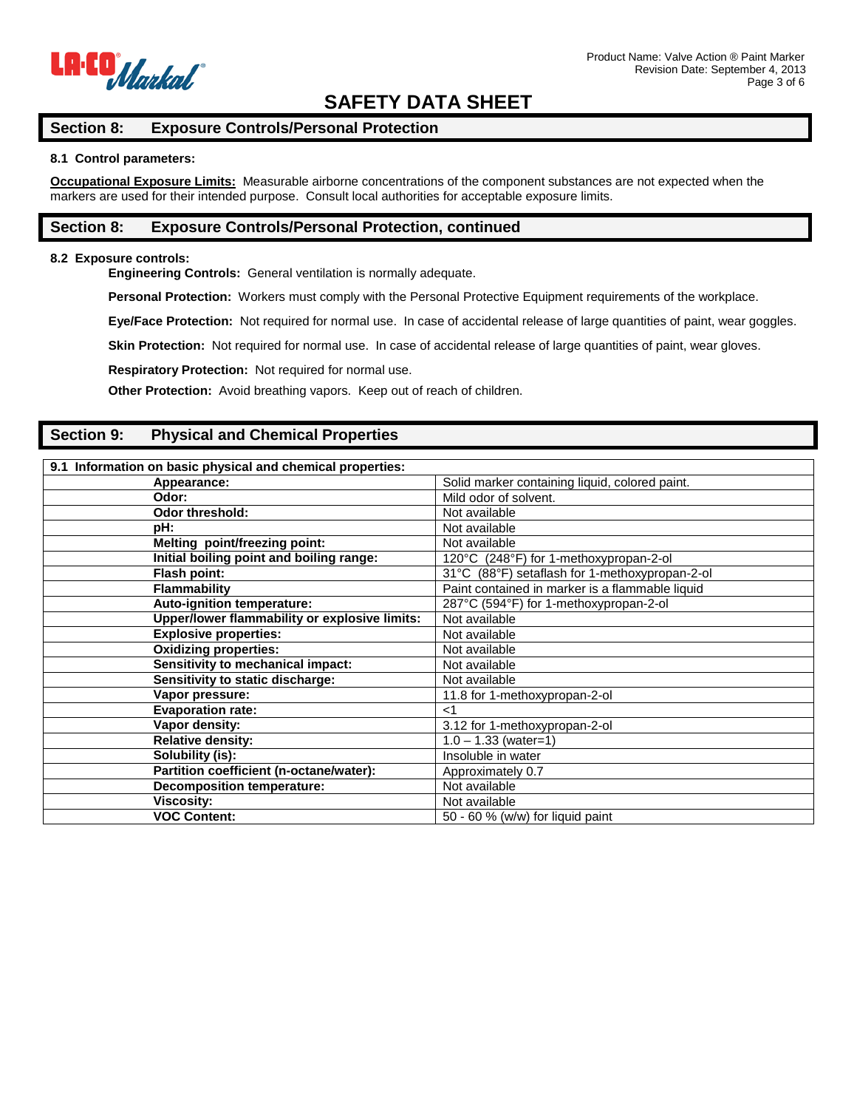

# **Section 8: Exposure Controls/Personal Protection**

## **8.1 Control parameters:**

**Occupational Exposure Limits:** Measurable airborne concentrations of the component substances are not expected when the markers are used for their intended purpose. Consult local authorities for acceptable exposure limits.

# **Section 8: Exposure Controls/Personal Protection, continued**

## **8.2 Exposure controls:**

**Engineering Controls:** General ventilation is normally adequate.

**Personal Protection:** Workers must comply with the Personal Protective Equipment requirements of the workplace.

**Eye/Face Protection:** Not required for normal use. In case of accidental release of large quantities of paint, wear goggles.

Skin Protection: Not required for normal use. In case of accidental release of large quantities of paint, wear gloves.

**Respiratory Protection:** Not required for normal use.

**Other Protection:** Avoid breathing vapors. Keep out of reach of children.

# **Section 9: Physical and Chemical Properties**

| 9.1 Information on basic physical and chemical properties: |                                                 |
|------------------------------------------------------------|-------------------------------------------------|
| Appearance:                                                | Solid marker containing liquid, colored paint.  |
| Odor:                                                      | Mild odor of solvent.                           |
| Odor threshold:                                            | Not available                                   |
| pH:                                                        | Not available                                   |
| Melting point/freezing point:                              | Not available                                   |
| Initial boiling point and boiling range:                   | 120°C (248°F) for 1-methoxypropan-2-ol          |
| Flash point:                                               | 31°C (88°F) setaflash for 1-methoxypropan-2-ol  |
| <b>Flammability</b>                                        | Paint contained in marker is a flammable liquid |
| Auto-ignition temperature:                                 | 287°C (594°F) for 1-methoxypropan-2-ol          |
| Upper/lower flammability or explosive limits:              | Not available                                   |
| <b>Explosive properties:</b>                               | Not available                                   |
| <b>Oxidizing properties:</b>                               | Not available                                   |
| <b>Sensitivity to mechanical impact:</b>                   | Not available                                   |
| Sensitivity to static discharge:                           | Not available                                   |
| Vapor pressure:                                            | 11.8 for 1-methoxypropan-2-ol                   |
| <b>Evaporation rate:</b>                                   | ا>                                              |
| Vapor density:                                             | 3.12 for 1-methoxypropan-2-ol                   |
| <b>Relative density:</b>                                   | $1.0 - 1.33$ (water=1)                          |
| Solubility (is):                                           | Insoluble in water                              |
| Partition coefficient (n-octane/water):                    | Approximately 0.7                               |
| <b>Decomposition temperature:</b>                          | Not available                                   |
| <b>Viscosity:</b>                                          | Not available                                   |
| <b>VOC Content:</b>                                        | 50 - 60 % (w/w) for liquid paint                |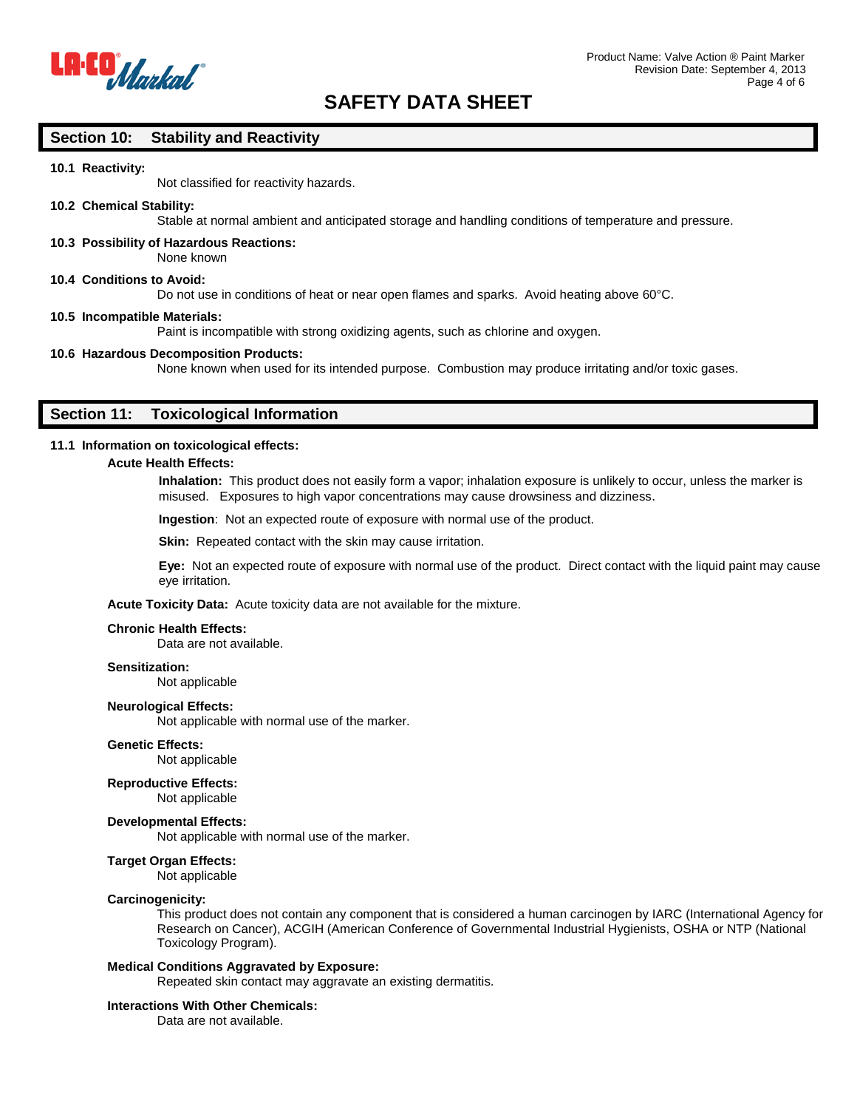

## **Section 10: Stability and Reactivity**

## **10.1 Reactivity:**

Not classified for reactivity hazards.

## **10.2 Chemical Stability:**

Stable at normal ambient and anticipated storage and handling conditions of temperature and pressure.

**10.3 Possibility of Hazardous Reactions:** None known

#### **10.4 Conditions to Avoid:**

Do not use in conditions of heat or near open flames and sparks. Avoid heating above 60°C.

#### **10.5 Incompatible Materials:**

Paint is incompatible with strong oxidizing agents, such as chlorine and oxygen.

#### **10.6 Hazardous Decomposition Products:**

None known when used for its intended purpose. Combustion may produce irritating and/or toxic gases.

# **Section 11: Toxicological Information**

## **11.1 Information on toxicological effects:**

## **Acute Health Effects:**

**Inhalation:** This product does not easily form a vapor; inhalation exposure is unlikely to occur, unless the marker is misused. Exposures to high vapor concentrations may cause drowsiness and dizziness.

**Ingestion**: Not an expected route of exposure with normal use of the product.

**Skin:** Repeated contact with the skin may cause irritation.

**Eye:** Not an expected route of exposure with normal use of the product. Direct contact with the liquid paint may cause eye irritation.

**Acute Toxicity Data:** Acute toxicity data are not available for the mixture.

#### **Chronic Health Effects:**

Data are not available.

## **Sensitization:**

Not applicable

#### **Neurological Effects:**

Not applicable with normal use of the marker.

## **Genetic Effects:**

Not applicable

## **Reproductive Effects:**

Not applicable

#### **Developmental Effects:**

Not applicable with normal use of the marker.

## **Target Organ Effects:**

Not applicable

## **Carcinogenicity:**

This product does not contain any component that is considered a human carcinogen by IARC (International Agency for Research on Cancer), ACGIH (American Conference of Governmental Industrial Hygienists, OSHA or NTP (National Toxicology Program).

#### **Medical Conditions Aggravated by Exposure:**

Repeated skin contact may aggravate an existing dermatitis.

## **Interactions With Other Chemicals:**

Data are not available.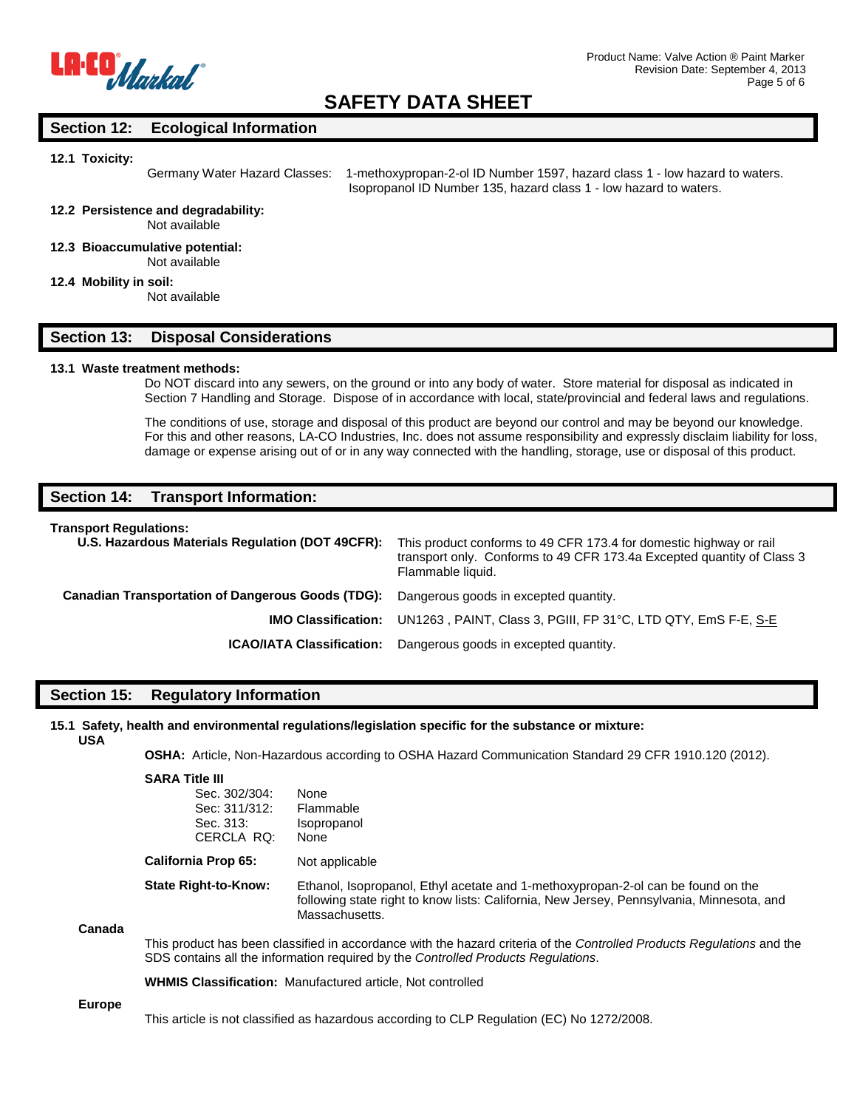

# **Section 12: Ecological Information**

#### **12.1 Toxicity:**

Germany Water Hazard Classes: 1-methoxypropan-2-ol ID Number 1597, hazard class 1 - low hazard to waters.

Isopropanol ID Number 135, hazard class 1 - low hazard to waters.

## **12.2 Persistence and degradability:**

Not available

**12.3 Bioaccumulative potential:** Not available

## **12.4 Mobility in soil:**

Not available

## **Section 13: Disposal Considerations**

## **13.1 Waste treatment methods:**

Do NOT discard into any sewers, on the ground or into any body of water. Store material for disposal as indicated in Section 7 Handling and Storage. Dispose of in accordance with local, state/provincial and federal laws and regulations.

The conditions of use, storage and disposal of this product are beyond our control and may be beyond our knowledge. For this and other reasons, LA-CO Industries, Inc. does not assume responsibility and expressly disclaim liability for loss, damage or expense arising out of or in any way connected with the handling, storage, use or disposal of this product.

## **Section 14: Transport Information:**

#### **Transport Regulations:**

| U.S. Hazardous Materials Regulation (DOT 49CFR):                                               | This product conforms to 49 CFR 173.4 for domestic highway or rail<br>transport only. Conforms to 49 CFR 173.4a Excepted quantity of Class 3<br>Flammable liquid. |
|------------------------------------------------------------------------------------------------|-------------------------------------------------------------------------------------------------------------------------------------------------------------------|
| <b>Canadian Transportation of Dangerous Goods (TDG):</b> Dangerous goods in excepted quantity. |                                                                                                                                                                   |
| <b>IMO Classification:</b>                                                                     | UN1263, PAINT, Class 3, PGIII, FP 31°C, LTD QTY, EmS F-E, S-E                                                                                                     |
| <b>ICAO/IATA Classification:</b>                                                               | Dangerous goods in excepted quantity.                                                                                                                             |

## **Section 15: Regulatory Information**

#### **15.1 Safety, health and environmental regulations/legislation specific for the substance or mixture: USA**

**OSHA:** Article, Non-Hazardous according to OSHA Hazard Communication Standard 29 CFR 1910.120 (2012).

|        | <b>SARA Title III</b><br>Sec. 302/304:<br>Sec: 311/312:<br>Sec. 313:<br>CERCLA RQ:                                                                                                                          | None<br>Flammable<br>Isopropanol<br>None                                                                                                                                                        |  |
|--------|-------------------------------------------------------------------------------------------------------------------------------------------------------------------------------------------------------------|-------------------------------------------------------------------------------------------------------------------------------------------------------------------------------------------------|--|
|        | <b>California Prop 65:</b>                                                                                                                                                                                  | Not applicable                                                                                                                                                                                  |  |
|        | <b>State Right-to-Know:</b>                                                                                                                                                                                 | Ethanol, Isopropanol, Ethyl acetate and 1-methoxypropan-2-ol can be found on the<br>following state right to know lists: California, New Jersey, Pennsylvania, Minnesota, and<br>Massachusetts. |  |
| Canada |                                                                                                                                                                                                             |                                                                                                                                                                                                 |  |
|        | This product has been classified in accordance with the hazard criteria of the Controlled Products Regulations and the<br>SDS contains all the information required by the Controlled Products Requiations. |                                                                                                                                                                                                 |  |
|        | <b>WHMIS Classification:</b> Manufactured article, Not controlled                                                                                                                                           |                                                                                                                                                                                                 |  |

**Europe**

This article is not classified as hazardous according to CLP Regulation (EC) No 1272/2008.